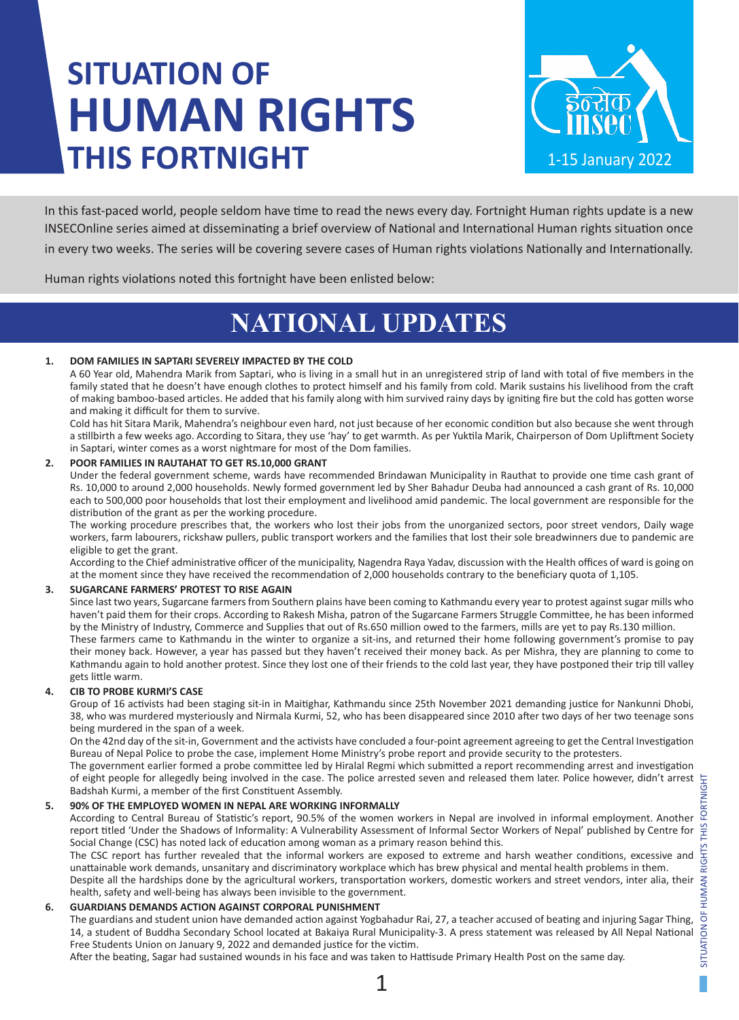# **SITUATION OF HUMAN RIGHTS THIS FORTNIGHT**



In this fast-paced world, people seldom have time to read the news every day. Fortnight Human rights update is a new INSECOnline series aimed at disseminating a brief overview of National and International Human rights situation once in every two weeks. The series will be covering severe cases of Human rights violations Nationally and Internationally.

Human rights violations noted this fortnight have been enlisted below:

### **NATIONAL UPDATES**

### **1. DOM FAMILIES IN SAPTARI SEVERELY IMPACTED BY THE COLD**

A 60 Year old, Mahendra Marik from Saptari, who is living in a small hut in an unregistered strip of land with total of five members in the family stated that he doesn't have enough clothes to protect himself and his family from cold. Marik sustains his livelihood from the craft of making bamboo-based articles. He added that his family along with him survived rainy days by igniting fire but the cold has gotten worse and making it difficult for them to survive.

Cold has hit Sitara Marik, Mahendra's neighbour even hard, not just because of her economic condition but also because she went through a stillbirth a few weeks ago. According to Sitara, they use 'hay' to get warmth. As per Yuktila Marik, Chairperson of Dom Upliftment Society in Saptari, winter comes as a worst nightmare for most of the Dom families.

### **2. POOR FAMILIES IN RAUTAHAT TO GET RS.10,000 GRANT**

Under the federal government scheme, wards have recommended Brindawan Municipality in Rauthat to provide one time cash grant of Rs. 10,000 to around 2,000 households. Newly formed government led by Sher Bahadur Deuba had announced a cash grant of Rs. 10,000 each to 500,000 poor households that lost their employment and livelihood amid pandemic. The local government are responsible for the distribution of the grant as per the working procedure.

The working procedure prescribes that, the workers who lost their jobs from the unorganized sectors, poor street vendors, Daily wage workers, farm labourers, rickshaw pullers, public transport workers and the families that lost their sole breadwinners due to pandemic are eligible to get the grant.

According to the Chief administrative officer of the municipality, Nagendra Raya Yadav, discussion with the Health offices of ward is going on at the moment since they have received the recommendation of 2,000 households contrary to the beneficiary quota of 1,105.

### **3. SUGARCANE FARMERS' PROTEST TO RISE AGAIN**

Since last two years, Sugarcane farmers from Southern plains have been coming to Kathmandu every year to protest against sugar mills who haven't paid them for their crops. According to Rakesh Misha, patron of the Sugarcane Farmers Struggle Committee, he has been informed by the Ministry of Industry, Commerce and Supplies that out of Rs.650 million owed to the farmers, mills are yet to pay Rs.130 million. These farmers came to Kathmandu in the winter to organize a sit-ins, and returned their home following government's promise to pay

their money back. However, a year has passed but they haven't received their money back. As per Mishra, they are planning to come to Kathmandu again to hold another protest. Since they lost one of their friends to the cold last year, they have postponed their trip till valley gets little warm.

### **4. CIB TO PROBE KURMI'S CASE**

Group of 16 activists had been staging sit-in in Maitighar, Kathmandu since 25th November 2021 demanding justice for Nankunni Dhobi, 38, who was murdered mysteriously and Nirmala Kurmi, 52, who has been disappeared since 2010 after two days of her two teenage sons being murdered in the span of a week.

On the 42nd day of the sit-in, Government and the activists have concluded a four-point agreement agreeing to get the Central Investigation Bureau of Nepal Police to probe the case, implement Home Ministry's probe report and provide security to the protesters.

The government earlier formed a probe committee led by Hiralal Regmi which submitted a report recommending arrest and investigation of eight people for allegedly being involved in the case. The police arrested seven and released them later. Police however, didn't arrest Badshah Kurmi, a member of the first Constituent Assembly.

### **5. 90% OF THE EMPLOYED WOMEN IN NEPAL ARE WORKING INFORMALLY**

According to Central Bureau of Statistic's report, 90.5% of the women workers in Nepal are involved in informal employment. Another report titled 'Under the Shadows of Informality: A Vulnerability Assessment of Informal Sector Workers of Nepal' published by Centre for Social Change (CSC) has noted lack of education among woman as a primary reason behind this.

The CSC report has further revealed that the informal workers are exposed to extreme and harsh weather conditions, excessive and unattainable work demands, unsanitary and discriminatory workplace which has brew physical and mental health problems in them.

Despite all the hardships done by the agricultural workers, transportation workers, domestic workers and street vendors, inter alia, their health, safety and well-being has always been invisible to the government.

### **6. GUARDIANS DEMANDS ACTION AGAINST CORPORAL PUNISHMENT**

The guardians and student union have demanded action against Yogbahadur Rai, 27, a teacher accused of beating and injuring Sagar Thing, 14, a student of Buddha Secondary School located at Bakaiya Rural Municipality-3. A press statement was released by All Nepal National Free Students Union on January 9, 2022 and demanded justice for the victim.

After the beating, Sagar had sustained wounds in his face and was taken to Hattisude Primary Health Post on the same day.